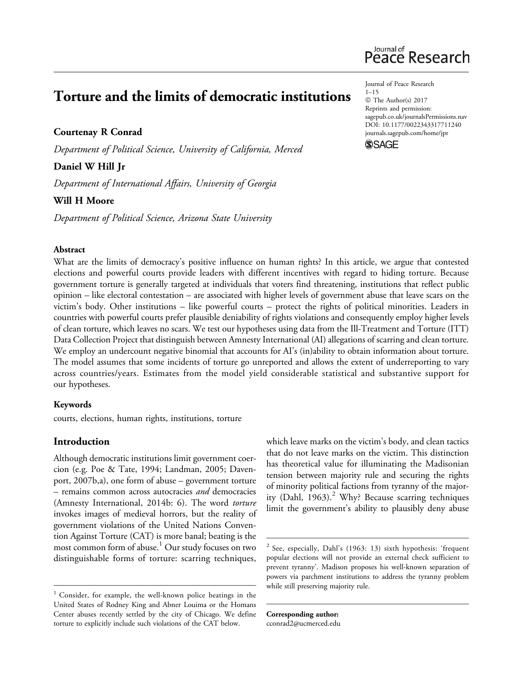# Peace Research

# Torture and the limits of democratic institutions

Courtenay R Conrad

Department of Political Science, University of California, Merced

# Daniel W Hill Jr

Department of International Affairs, University of Georgia

# Will H Moore

Department of Political Science, Arizona State University

# Abstract

What are the limits of democracy's positive influence on human rights? In this article, we argue that contested elections and powerful courts provide leaders with different incentives with regard to hiding torture. Because government torture is generally targeted at individuals that voters find threatening, institutions that reflect public opinion – like electoral contestation – are associated with higher levels of government abuse that leave scars on the victim's body. Other institutions – like powerful courts – protect the rights of political minorities. Leaders in countries with powerful courts prefer plausible deniability of rights violations and consequently employ higher levels of clean torture, which leaves no scars. We test our hypotheses using data from the Ill-Treatment and Torture (ITT) Data Collection Project that distinguish between Amnesty International (AI) allegations of scarring and clean torture. We employ an undercount negative binomial that accounts for AI's (in)ability to obtain information about torture. The model assumes that some incidents of torture go unreported and allows the extent of underreporting to vary across countries/years. Estimates from the model yield considerable statistical and substantive support for our hypotheses.

#### Keywords

courts, elections, human rights, institutions, torture

# Introduction

Although democratic institutions limit government coercion (e.g. Poe & Tate, 1994; Landman, 2005; Davenport, 2007b,a), one form of abuse – government torture – remains common across autocracies and democracies (Amnesty International, 2014b: 6). The word torture invokes images of medieval horrors, but the reality of government violations of the United Nations Convention Against Torture (CAT) is more banal; beating is the most common form of abuse.<sup>1</sup> Our study focuses on two distinguishable forms of torture: scarring techniques,

which leave marks on the victim's body, and clean tactics that do not leave marks on the victim. This distinction has theoretical value for illuminating the Madisonian tension between majority rule and securing the rights of minority political factions from tyranny of the majority (Dahl, 1963).<sup>2</sup> Why? Because scarring techniques limit the government's ability to plausibly deny abuse

Corresponding author: [cconrad2@ucmerced.edu](mailto:cconrad2@ucmerced.edu) Journal of Peace Research 1–15 © The Author(s) 2017 Reprints and permission: [sagepub.co.uk/journalsPermissions.nav](https://uk.sagepub.com/en-gb/journals-permissions) [DOI: 10.1177/0022343317711240](https://doi.org/10.1177/0022343317711240) [journals.sagepub.com/home/jpr](http://journals.sagepub.com/home/jpr)



<sup>&</sup>lt;sup>1</sup> Consider, for example, the well-known police beatings in the United States of Rodney King and Abner Louima or the Homans Center abuses recently settled by the city of Chicago. We define torture to explicitly include such violations of the CAT below.

<sup>2</sup> See, especially, Dahl's (1963: 13) sixth hypothesis: 'frequent popular elections will not provide an external check sufficient to prevent tyranny'. Madison proposes his well-known separation of powers via parchment institutions to address the tyranny problem while still preserving majority rule.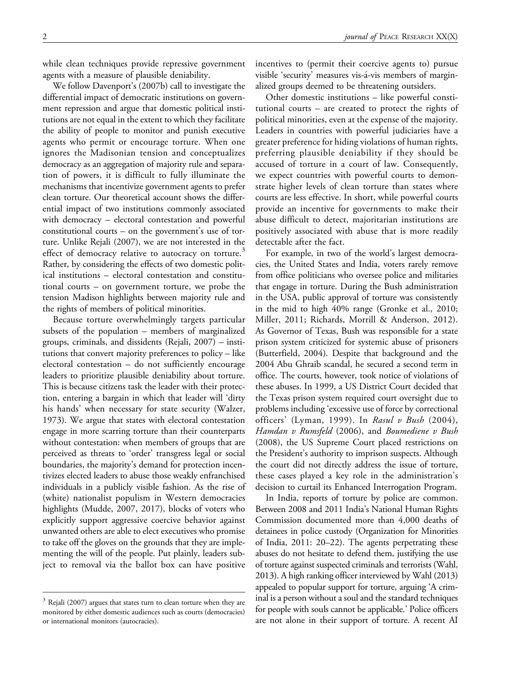while clean techniques provide repressive government agents with a measure of plausible deniability.

We follow Davenport's (2007b) call to investigate the differential impact of democratic institutions on government repression and argue that domestic political institutions are not equal in the extent to which they facilitate the ability of people to monitor and punish executive agents who permit or encourage torture. When one ignores the Madisonian tension and conceptualizes democracy as an aggregation of majority rule and separation of powers, it is difficult to fully illuminate the mechanisms that incentivize government agents to prefer clean torture. Our theoretical account shows the differential impact of two institutions commonly associated with democracy – electoral contestation and powerful constitutional courts – on the government's use of torture. Unlike Rejali (2007), we are not interested in the effect of democracy relative to autocracy on torture.<sup>3</sup> Rather, by considering the effects of two domestic political institutions – electoral contestation and constitutional courts – on government torture, we probe the tension Madison highlights between majority rule and the rights of members of political minorities.

Because torture overwhelmingly targets particular subsets of the population – members of marginalized groups, criminals, and dissidents (Rejali, 2007) – institutions that convert majority preferences to policy – like electoral contestation – do not sufficiently encourage leaders to prioritize plausible deniability about torture. This is because citizens task the leader with their protection, entering a bargain in which that leader will 'dirty his hands' when necessary for state security (Walzer, 1973). We argue that states with electoral contestation engage in more scarring torture than their counterparts without contestation: when members of groups that are perceived as threats to 'order' transgress legal or social boundaries, the majority's demand for protection incentivizes elected leaders to abuse those weakly enfranchised individuals in a publicly visible fashion. As the rise of (white) nationalist populism in Western democracies highlights (Mudde, 2007, 2017), blocks of voters who explicitly support aggressive coercive behavior against unwanted others are able to elect executives who promise to take off the gloves on the grounds that they are implementing the will of the people. Put plainly, leaders subject to removal via the ballot box can have positive

 $3$  Rejali (2007) argues that states turn to clean torture when they are monitored by either domestic audiences such as courts (democracies) or international monitors (autocracies).

incentives to (permit their coercive agents to) pursue visible 'security' measures vis-á-vis members of marginalized groups deemed to be threatening outsiders.

Other domestic institutions – like powerful constitutional courts – are created to protect the rights of political minorities, even at the expense of the majority. Leaders in countries with powerful judiciaries have a greater preference for hiding violations of human rights, preferring plausible deniability if they should be accused of torture in a court of law. Consequently, we expect countries with powerful courts to demonstrate higher levels of clean torture than states where courts are less effective. In short, while powerful courts provide an incentive for governments to make their abuse difficult to detect, majoritarian institutions are positively associated with abuse that is more readily detectable after the fact.

For example, in two of the world's largest democracies, the United States and India, voters rarely remove from office politicians who oversee police and militaries that engage in torture. During the Bush administration in the USA, public approval of torture was consistently in the mid to high 40% range (Gronke et al., 2010; Miller, 2011; Richards, Morrill & Anderson, 2012). As Governor of Texas, Bush was responsible for a state prison system criticized for systemic abuse of prisoners (Butterfield, 2004). Despite that background and the 2004 Abu Ghraib scandal, he secured a second term in office. The courts, however, took notice of violations of these abuses. In 1999, a US District Court decided that the Texas prison system required court oversight due to problems including 'excessive use of force by correctional officers' (Lyman, 1999). In Rasul v Bush (2004), Hamdan v Rumsfeld (2006), and Boumediene v Bush (2008), the US Supreme Court placed restrictions on the President's authority to imprison suspects. Although the court did not directly address the issue of torture, these cases played a key role in the administration's decision to curtail its Enhanced Interrogation Program.

In India, reports of torture by police are common. Between 2008 and 2011 India's National Human Rights Commission documented more than 4,000 deaths of detainees in police custody (Organization for Minorities of India, 2011: 20–22). The agents perpetrating these abuses do not hesitate to defend them, justifying the use of torture against suspected criminals and terrorists (Wahl, 2013). A high ranking officer interviewed by Wahl (2013) appealed to popular support for torture, arguing 'A criminal is a person without a soul and the standard techniques for people with souls cannot be applicable.' Police officers are not alone in their support of torture. A recent AI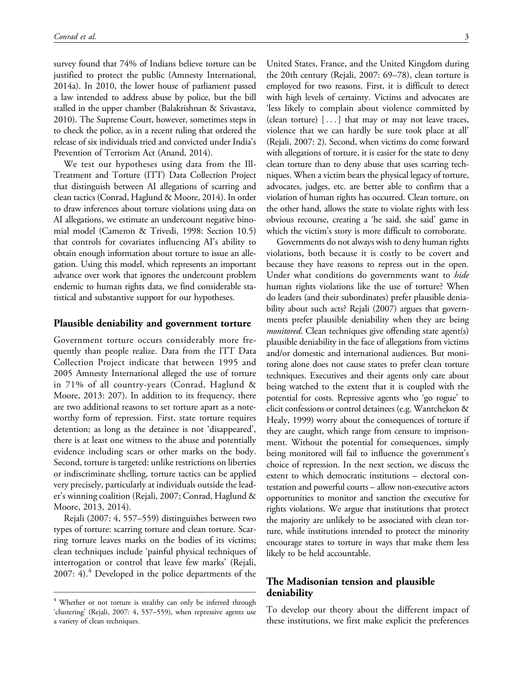survey found that 74% of Indians believe torture can be justified to protect the public (Amnesty International, 2014a). In 2010, the lower house of parliament passed a law intended to address abuse by police, but the bill stalled in the upper chamber (Balakrishnan & Srivastava, 2010). The Supreme Court, however, sometimes steps in to check the police, as in a recent ruling that ordered the release of six individuals tried and convicted under India's Prevention of Terrorism Act (Anand, 2014).

We test our hypotheses using data from the Ill-Treatment and Torture (ITT) Data Collection Project that distinguish between AI allegations of scarring and clean tactics (Conrad, Haglund & Moore, 2014). In order to draw inferences about torture violations using data on AI allegations, we estimate an undercount negative binomial model (Cameron & Trivedi, 1998: Section 10.5) that controls for covariates influencing AI's ability to obtain enough information about torture to issue an allegation. Using this model, which represents an important advance over work that ignores the undercount problem endemic to human rights data, we find considerable statistical and substantive support for our hypotheses.

# Plausible deniability and government torture

Government torture occurs considerably more frequently than people realize. Data from the ITT Data Collection Project indicate that between 1995 and 2005 Amnesty International alleged the use of torture in 71% of all country-years (Conrad, Haglund & Moore, 2013: 207). In addition to its frequency, there are two additional reasons to set torture apart as a noteworthy form of repression. First, state torture requires detention; as long as the detainee is not 'disappeared', there is at least one witness to the abuse and potentially evidence including scars or other marks on the body. Second, torture is targeted: unlike restrictions on liberties or indiscriminate shelling, torture tactics can be applied very precisely, particularly at individuals outside the leader's winning coalition (Rejali, 2007; Conrad, Haglund & Moore, 2013, 2014).

Rejali (2007: 4, 557–559) distinguishes between two types of torture: scarring torture and clean torture. Scarring torture leaves marks on the bodies of its victims; clean techniques include 'painful physical techniques of interrogation or control that leave few marks' (Rejali,  $2007: 4$ .<sup>4</sup> Developed in the police departments of the

United States, France, and the United Kingdom during the 20th century (Rejali, 2007: 69–78), clean torture is employed for two reasons. First, it is difficult to detect with high levels of certainty. Victims and advocates are 'less likely to complain about violence committed by (clean torture)  $[\dots]$  that may or may not leave traces, violence that we can hardly be sure took place at all' (Rejali, 2007: 2). Second, when victims do come forward with allegations of torture, it is easier for the state to deny clean torture than to deny abuse that uses scarring techniques. When a victim bears the physical legacy of torture, advocates, judges, etc. are better able to confirm that a violation of human rights has occurred. Clean torture, on the other hand, allows the state to violate rights with less obvious recourse, creating a 'he said, she said' game in which the victim's story is more difficult to corroborate.

Governments do not always wish to deny human rights violations, both because it is costly to be covert and because they have reasons to repress out in the open. Under what conditions do governments want to hide human rights violations like the use of torture? When do leaders (and their subordinates) prefer plausible deniability about such acts? Rejali (2007) argues that governments prefer plausible deniability when they are being *monitored*. Clean techniques give offending state agent(s) plausible deniability in the face of allegations from victims and/or domestic and international audiences. But monitoring alone does not cause states to prefer clean torture techniques. Executives and their agents only care about being watched to the extent that it is coupled with the potential for costs. Repressive agents who 'go rogue' to elicit confessions or control detainees (e.g. Wantchekon & Healy, 1999) worry about the consequences of torture if they are caught, which range from censure to imprisonment. Without the potential for consequences, simply being monitored will fail to influence the government's choice of repression. In the next section, we discuss the extent to which democratic institutions – electoral contestation and powerful courts – allow non-executive actors opportunities to monitor and sanction the executive for rights violations. We argue that institutions that protect the majority are unlikely to be associated with clean torture, while institutions intended to protect the minority encourage states to torture in ways that make them less likely to be held accountable.

# The Madisonian tension and plausible deniability

To develop our theory about the different impact of these institutions, we first make explicit the preferences

 $4$  Whether or not torture is stealthy can only be inferred through 'clustering' (Rejali, 2007: 4, 557–559), when repressive agents use a variety of clean techniques.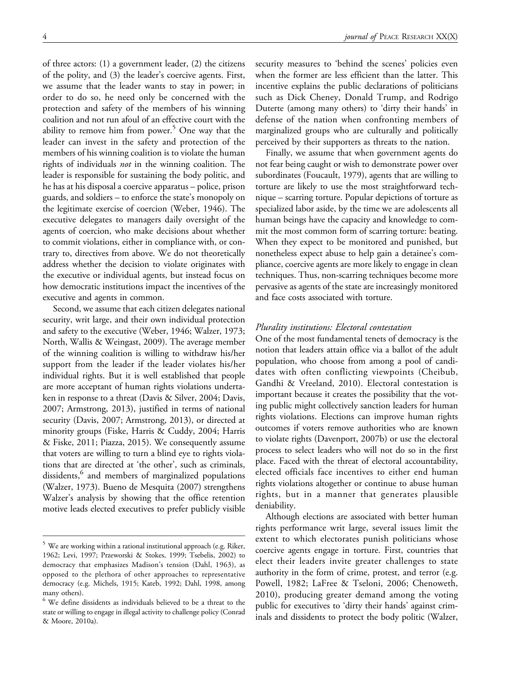of three actors: (1) a government leader, (2) the citizens of the polity, and (3) the leader's coercive agents. First, we assume that the leader wants to stay in power; in order to do so, he need only be concerned with the protection and safety of the members of his winning coalition and not run afoul of an effective court with the ability to remove him from power.<sup>5</sup> One way that the leader can invest in the safety and protection of the members of his winning coalition is to violate the human rights of individuals not in the winning coalition. The leader is responsible for sustaining the body politic, and he has at his disposal a coercive apparatus – police, prison guards, and soldiers – to enforce the state's monopoly on the legitimate exercise of coercion (Weber, 1946). The executive delegates to managers daily oversight of the agents of coercion, who make decisions about whether to commit violations, either in compliance with, or contrary to, directives from above. We do not theoretically address whether the decision to violate originates with the executive or individual agents, but instead focus on how democratic institutions impact the incentives of the executive and agents in common.

Second, we assume that each citizen delegates national security, writ large, and their own individual protection and safety to the executive (Weber, 1946; Walzer, 1973; North, Wallis & Weingast, 2009). The average member of the winning coalition is willing to withdraw his/her support from the leader if the leader violates his/her individual rights. But it is well established that people are more acceptant of human rights violations undertaken in response to a threat (Davis & Silver, 2004; Davis, 2007; Armstrong, 2013), justified in terms of national security (Davis, 2007; Armstrong, 2013), or directed at minority groups (Fiske, Harris & Cuddy, 2004; Harris & Fiske, 2011; Piazza, 2015). We consequently assume that voters are willing to turn a blind eye to rights violations that are directed at 'the other', such as criminals, dissidents,<sup>6</sup> and members of marginalized populations (Walzer, 1973). Bueno de Mesquita (2007) strengthens Walzer's analysis by showing that the office retention motive leads elected executives to prefer publicly visible security measures to 'behind the scenes' policies even when the former are less efficient than the latter. This incentive explains the public declarations of politicians such as Dick Cheney, Donald Trump, and Rodrigo Duterte (among many others) to 'dirty their hands' in defense of the nation when confronting members of marginalized groups who are culturally and politically perceived by their supporters as threats to the nation.

Finally, we assume that when government agents do not fear being caught or wish to demonstrate power over subordinates (Foucault, 1979), agents that are willing to torture are likely to use the most straightforward technique – scarring torture. Popular depictions of torture as specialized labor aside, by the time we are adolescents all human beings have the capacity and knowledge to commit the most common form of scarring torture: beating. When they expect to be monitored and punished, but nonetheless expect abuse to help gain a detainee's compliance, coercive agents are more likely to engage in clean techniques. Thus, non-scarring techniques become more pervasive as agents of the state are increasingly monitored and face costs associated with torture.

#### Plurality institutions: Electoral contestation

One of the most fundamental tenets of democracy is the notion that leaders attain office via a ballot of the adult population, who choose from among a pool of candidates with often conflicting viewpoints (Cheibub, Gandhi & Vreeland, 2010). Electoral contestation is important because it creates the possibility that the voting public might collectively sanction leaders for human rights violations. Elections can improve human rights outcomes if voters remove authorities who are known to violate rights (Davenport, 2007b) or use the electoral process to select leaders who will not do so in the first place. Faced with the threat of electoral accountability, elected officials face incentives to either end human rights violations altogether or continue to abuse human rights, but in a manner that generates plausible deniability.

Although elections are associated with better human rights performance writ large, several issues limit the extent to which electorates punish politicians whose coercive agents engage in torture. First, countries that elect their leaders invite greater challenges to state authority in the form of crime, protest, and terror (e.g. Powell, 1982; LaFree & Tseloni, 2006; Chenoweth, 2010), producing greater demand among the voting public for executives to 'dirty their hands' against criminals and dissidents to protect the body politic (Walzer,

 $^5$  We are working within a rational institutional approach (e.g. Riker, 1962; Levi, 1997; Przeworski & Stokes, 1999; Tsebelis, 2002) to democracy that emphasizes Madison's tension (Dahl, 1963), as opposed to the plethora of other approaches to representative democracy (e.g. Michels, 1915; Kateb, 1992; Dahl, 1998, among many others).

<sup>6</sup> We define dissidents as individuals believed to be a threat to the state or willing to engage in illegal activity to challenge policy (Conrad & Moore, 2010a).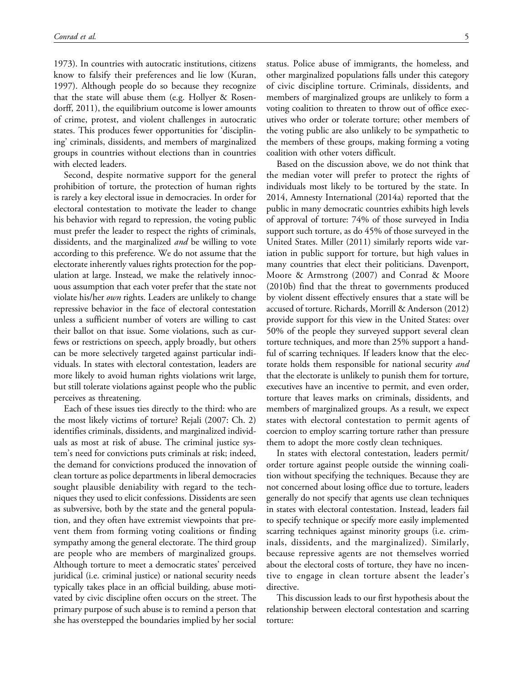1973). In countries with autocratic institutions, citizens know to falsify their preferences and lie low (Kuran, 1997). Although people do so because they recognize that the state will abuse them (e.g. Hollyer & Rosendorff, 2011), the equilibrium outcome is lower amounts of crime, protest, and violent challenges in autocratic states. This produces fewer opportunities for 'disciplining' criminals, dissidents, and members of marginalized groups in countries without elections than in countries with elected leaders.

Second, despite normative support for the general prohibition of torture, the protection of human rights is rarely a key electoral issue in democracies. In order for electoral contestation to motivate the leader to change his behavior with regard to repression, the voting public must prefer the leader to respect the rights of criminals, dissidents, and the marginalized *and* be willing to vote according to this preference. We do not assume that the electorate inherently values rights protection for the population at large. Instead, we make the relatively innocuous assumption that each voter prefer that the state not violate his/her *own* rights. Leaders are unlikely to change repressive behavior in the face of electoral contestation unless a sufficient number of voters are willing to cast their ballot on that issue. Some violations, such as curfews or restrictions on speech, apply broadly, but others can be more selectively targeted against particular individuals. In states with electoral contestation, leaders are more likely to avoid human rights violations writ large, but still tolerate violations against people who the public perceives as threatening.

Each of these issues ties directly to the third: who are the most likely victims of torture? Rejali (2007: Ch. 2) identifies criminals, dissidents, and marginalized individuals as most at risk of abuse. The criminal justice system's need for convictions puts criminals at risk; indeed, the demand for convictions produced the innovation of clean torture as police departments in liberal democracies sought plausible deniability with regard to the techniques they used to elicit confessions. Dissidents are seen as subversive, both by the state and the general population, and they often have extremist viewpoints that prevent them from forming voting coalitions or finding sympathy among the general electorate. The third group are people who are members of marginalized groups. Although torture to meet a democratic states' perceived juridical (i.e. criminal justice) or national security needs typically takes place in an official building, abuse motivated by civic discipline often occurs on the street. The primary purpose of such abuse is to remind a person that she has overstepped the boundaries implied by her social

status. Police abuse of immigrants, the homeless, and other marginalized populations falls under this category of civic discipline torture. Criminals, dissidents, and members of marginalized groups are unlikely to form a voting coalition to threaten to throw out of office executives who order or tolerate torture; other members of the voting public are also unlikely to be sympathetic to the members of these groups, making forming a voting coalition with other voters difficult.

Based on the discussion above, we do not think that the median voter will prefer to protect the rights of individuals most likely to be tortured by the state. In 2014, Amnesty International (2014a) reported that the public in many democratic countries exhibits high levels of approval of torture: 74% of those surveyed in India support such torture, as do 45% of those surveyed in the United States. Miller (2011) similarly reports wide variation in public support for torture, but high values in many countries that elect their politicians. Davenport, Moore & Armstrong (2007) and Conrad & Moore (2010b) find that the threat to governments produced by violent dissent effectively ensures that a state will be accused of torture. Richards, Morrill & Anderson (2012) provide support for this view in the United States: over 50% of the people they surveyed support several clean torture techniques, and more than 25% support a handful of scarring techniques. If leaders know that the electorate holds them responsible for national security and that the electorate is unlikely to punish them for torture, executives have an incentive to permit, and even order, torture that leaves marks on criminals, dissidents, and members of marginalized groups. As a result, we expect states with electoral contestation to permit agents of coercion to employ scarring torture rather than pressure them to adopt the more costly clean techniques.

In states with electoral contestation, leaders permit/ order torture against people outside the winning coalition without specifying the techniques. Because they are not concerned about losing office due to torture, leaders generally do not specify that agents use clean techniques in states with electoral contestation. Instead, leaders fail to specify technique or specify more easily implemented scarring techniques against minority groups (i.e. criminals, dissidents, and the marginalized). Similarly, because repressive agents are not themselves worried about the electoral costs of torture, they have no incentive to engage in clean torture absent the leader's directive.

This discussion leads to our first hypothesis about the relationship between electoral contestation and scarring torture: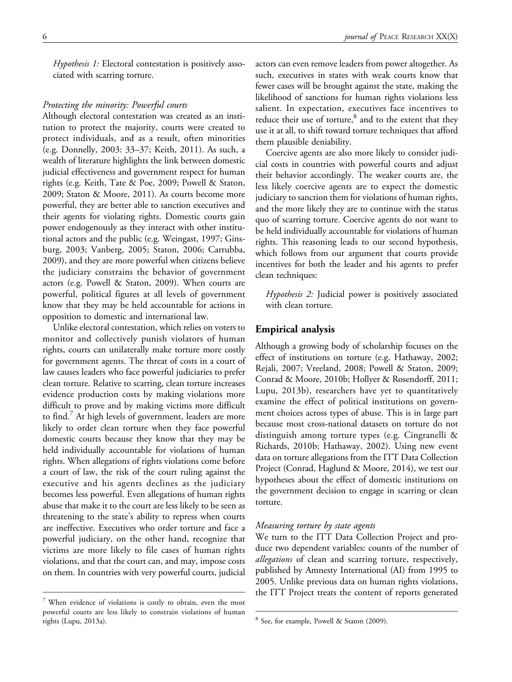Hypothesis 1: Electoral contestation is positively associated with scarring torture.

#### Protecting the minority: Powerful courts

Although electoral contestation was created as an institution to protect the majority, courts were created to protect individuals, and as a result, often minorities (e.g. Donnelly, 2003: 33–37; Keith, 2011). As such, a wealth of literature highlights the link between domestic judicial effectiveness and government respect for human rights (e.g. Keith, Tate & Poe, 2009; Powell & Staton, 2009; Staton & Moore, 2011). As courts become more powerful, they are better able to sanction executives and their agents for violating rights. Domestic courts gain power endogenously as they interact with other institutional actors and the public (e.g. Weingast, 1997; Ginsburg, 2003; Vanberg, 2005; Staton, 2006; Carrubba, 2009), and they are more powerful when citizens believe the judiciary constrains the behavior of government actors (e.g. Powell & Staton, 2009). When courts are powerful, political figures at all levels of government know that they may be held accountable for actions in opposition to domestic and international law.

Unlike electoral contestation, which relies on voters to monitor and collectively punish violators of human rights, courts can unilaterally make torture more costly for government agents. The threat of costs in a court of law causes leaders who face powerful judiciaries to prefer clean torture. Relative to scarring, clean torture increases evidence production costs by making violations more difficult to prove and by making victims more difficult to find.<sup>7</sup> At high levels of government, leaders are more likely to order clean torture when they face powerful domestic courts because they know that they may be held individually accountable for violations of human rights. When allegations of rights violations come before a court of law, the risk of the court ruling against the executive and his agents declines as the judiciary becomes less powerful. Even allegations of human rights abuse that make it to the court are less likely to be seen as threatening to the state's ability to repress when courts are ineffective. Executives who order torture and face a powerful judiciary, on the other hand, recognize that victims are more likely to file cases of human rights violations, and that the court can, and may, impose costs on them. In countries with very powerful courts, judicial

actors can even remove leaders from power altogether. As such, executives in states with weak courts know that fewer cases will be brought against the state, making the likelihood of sanctions for human rights violations less salient. In expectation, executives face incentives to reduce their use of torture, $8$  and to the extent that they use it at all, to shift toward torture techniques that afford them plausible deniability.

Coercive agents are also more likely to consider judicial costs in countries with powerful courts and adjust their behavior accordingly. The weaker courts are, the less likely coercive agents are to expect the domestic judiciary to sanction them for violations of human rights, and the more likely they are to continue with the status quo of scarring torture. Coercive agents do not want to be held individually accountable for violations of human rights. This reasoning leads to our second hypothesis, which follows from our argument that courts provide incentives for both the leader and his agents to prefer clean techniques:

Hypothesis 2: Judicial power is positively associated with clean torture.

#### Empirical analysis

Although a growing body of scholarship focuses on the effect of institutions on torture (e.g. Hathaway, 2002; Rejali, 2007; Vreeland, 2008; Powell & Staton, 2009; Conrad & Moore, 2010b; Hollyer & Rosendorff, 2011; Lupu, 2013b), researchers have yet to quantitatively examine the effect of political institutions on government choices across types of abuse. This is in large part because most cross-national datasets on torture do not distinguish among torture types (e.g. Cingranelli & Richards, 2010b; Hathaway, 2002). Using new event data on torture allegations from the ITT Data Collection Project (Conrad, Haglund & Moore, 2014), we test our hypotheses about the effect of domestic institutions on the government decision to engage in scarring or clean torture.

#### Measuring torture by state agents

We turn to the ITT Data Collection Project and produce two dependent variables: counts of the number of allegations of clean and scarring torture, respectively, published by Amnesty International (AI) from 1995 to 2005. Unlike previous data on human rights violations,  $\frac{1}{7}$  When evidence of violations is costly to obtain, even the most

powerful courts are less likely to constrain violations of human

 $8$  See, for example, Powell & Staton (2009).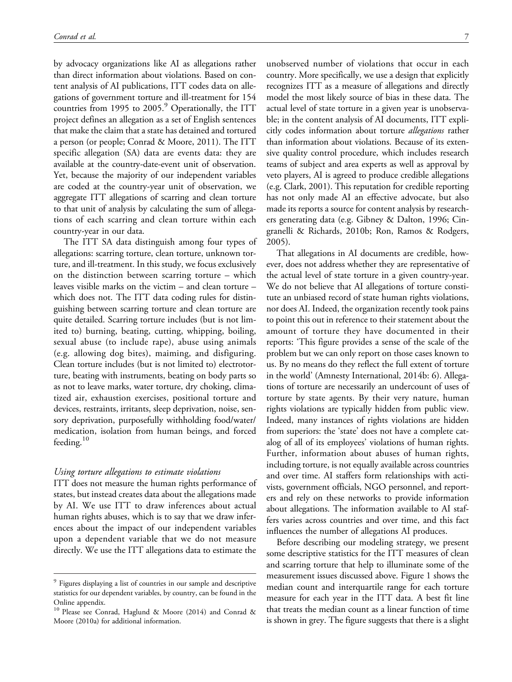by advocacy organizations like AI as allegations rather than direct information about violations. Based on content analysis of AI publications, ITT codes data on allegations of government torture and ill-treatment for 154 countries from 1995 to 2005.<sup>9</sup> Operationally, the ITT project defines an allegation as a set of English sentences that make the claim that a state has detained and tortured a person (or people; Conrad & Moore, 2011). The ITT specific allegation (SA) data are events data: they are available at the country-date-event unit of observation. Yet, because the majority of our independent variables are coded at the country-year unit of observation, we aggregate ITT allegations of scarring and clean torture to that unit of analysis by calculating the sum of allegations of each scarring and clean torture within each country-year in our data.

The ITT SA data distinguish among four types of allegations: scarring torture, clean torture, unknown torture, and ill-treatment. In this study, we focus exclusively on the distinction between scarring torture – which leaves visible marks on the victim – and clean torture – which does not. The ITT data coding rules for distinguishing between scarring torture and clean torture are quite detailed. Scarring torture includes (but is not limited to) burning, beating, cutting, whipping, boiling, sexual abuse (to include rape), abuse using animals (e.g. allowing dog bites), maiming, and disfiguring. Clean torture includes (but is not limited to) electrotorture, beating with instruments, beating on body parts so as not to leave marks, water torture, dry choking, climatized air, exhaustion exercises, positional torture and devices, restraints, irritants, sleep deprivation, noise, sensory deprivation, purposefully withholding food/water/ medication, isolation from human beings, and forced feeding. $10$ 

#### Using torture allegations to estimate violations

ITT does not measure the human rights performance of states, but instead creates data about the allegations made by AI. We use ITT to draw inferences about actual human rights abuses, which is to say that we draw inferences about the impact of our independent variables upon a dependent variable that we do not measure directly. We use the ITT allegations data to estimate the unobserved number of violations that occur in each country. More specifically, we use a design that explicitly recognizes ITT as a measure of allegations and directly model the most likely source of bias in these data. The actual level of state torture in a given year is unobservable; in the content analysis of AI documents, ITT explicitly codes information about torture allegations rather than information about violations. Because of its extensive quality control procedure, which includes research teams of subject and area experts as well as approval by veto players, AI is agreed to produce credible allegations (e.g. Clark, 2001). This reputation for credible reporting has not only made AI an effective advocate, but also made its reports a source for content analysis by researchers generating data (e.g. Gibney & Dalton, 1996; Cingranelli & Richards, 2010b; Ron, Ramos & Rodgers, 2005).

That allegations in AI documents are credible, however, does not address whether they are representative of the actual level of state torture in a given country-year. We do not believe that AI allegations of torture constitute an unbiased record of state human rights violations, nor does AI. Indeed, the organization recently took pains to point this out in reference to their statement about the amount of torture they have documented in their reports: 'This figure provides a sense of the scale of the problem but we can only report on those cases known to us. By no means do they reflect the full extent of torture in the world' (Amnesty International, 2014b: 6). Allegations of torture are necessarily an undercount of uses of torture by state agents. By their very nature, human rights violations are typically hidden from public view. Indeed, many instances of rights violations are hidden from superiors: the 'state' does not have a complete catalog of all of its employees' violations of human rights. Further, information about abuses of human rights, including torture, is not equally available across countries and over time. AI staffers form relationships with activists, government officials, NGO personnel, and reporters and rely on these networks to provide information about allegations. The information available to AI staffers varies across countries and over time, and this fact influences the number of allegations AI produces.

Before describing our modeling strategy, we present some descriptive statistics for the ITT measures of clean and scarring torture that help to illuminate some of the measurement issues discussed above. Figure 1 shows the median count and interquartile range for each torture measure for each year in the ITT data. A best fit line that treats the median count as a linear function of time is shown in grey. The figure suggests that there is a slight

<sup>&</sup>lt;sup>9</sup> Figures displaying a list of countries in our sample and descriptive statistics for our dependent variables, by country, can be found in the Online appendix.

<sup>&</sup>lt;sup>10</sup> Please see Conrad, Haglund & Moore (2014) and Conrad & Moore (2010a) for additional information.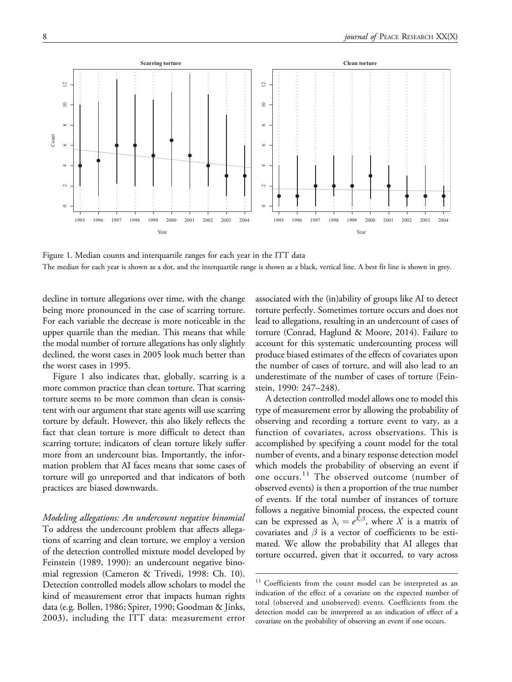

Figure 1. Median counts and interquartile ranges for each year in the ITT data The median for each year is shown as a dot, and the interquartile range is shown as a black, vertical line. A best fit line is shown in grey.

decline in torture allegations over time, with the change being more pronounced in the case of scarring torture. For each variable the decrease is more noticeable in the upper quartile than the median. This means that while the modal number of torture allegations has only slightly declined, the worst cases in 2005 look much better than the worst cases in 1995.

Figure 1 also indicates that, globally, scarring is a more common practice than clean torture. That scarring torture seems to be more common than clean is consistent with our argument that state agents will use scarring torture by default. However, this also likely reflects the fact that clean torture is more difficult to detect than scarring torture; indicators of clean torture likely suffer more from an undercount bias. Importantly, the information problem that AI faces means that some cases of torture will go unreported and that indicators of both practices are biased downwards.

Modeling allegations: An undercount negative binomial To address the undercount problem that affects allegations of scarring and clean torture, we employ a version of the detection controlled mixture model developed by Feinstein (1989, 1990): an undercount negative binomial regression (Cameron & Trivedi, 1998: Ch. 10). Detection controlled models allow scholars to model the kind of measurement error that impacts human rights data (e.g. Bollen, 1986; Spirer, 1990; Goodman & Jinks, 2003), including the ITT data: measurement error

associated with the (in)ability of groups like AI to detect torture perfectly. Sometimes torture occurs and does not lead to allegations, resulting in an undercount of cases of torture (Conrad, Haglund & Moore, 2014). Failure to account for this systematic undercounting process will produce biased estimates of the effects of covariates upon the number of cases of torture, and will also lead to an underestimate of the number of cases of torture (Feinstein, 1990: 247–248).

A detection controlled model allows one to model this type of measurement error by allowing the probability of observing and recording a torture event to vary, as a function of covariates, across observations. This is accomplished by specifying a count model for the total number of events, and a binary response detection model which models the probability of observing an event if one occurs. <sup>11</sup> The observed outcome (number of observed events) is then a proportion of the true number of events. If the total number of instances of torture follows a negative binomial process, the expected count can be expressed as  $\lambda_i = e^{X_i \beta}$ , where X is a matrix of covariates and  $\beta$  is a vector of coefficients to be estimated. We allow the probability that AI alleges that torture occurred, given that it occurred, to vary across

<sup>&</sup>lt;sup>11</sup> Coefficients from the count model can be interpreted as an indication of the effect of a covariate on the expected number of total (observed and unobserved) events. Coefficients from the detection model can be interpreted as an indication of effect of a covariate on the probability of observing an event if one occurs.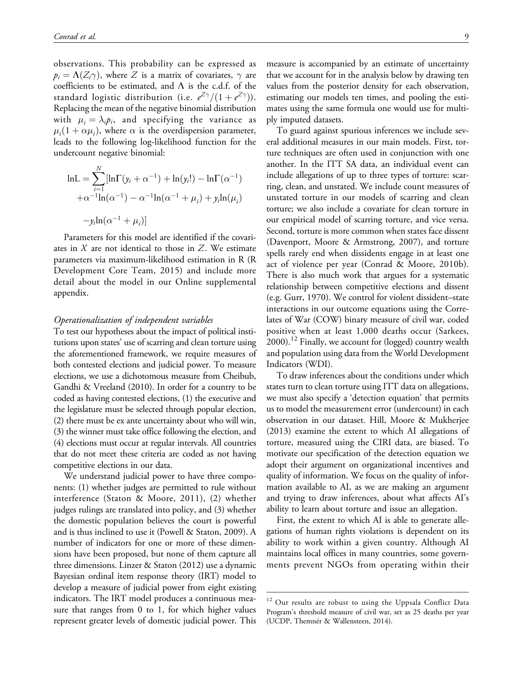observations. This probability can be expressed as  $p_i = \Lambda(Z_i\gamma)$ , where Z is a matrix of covariates,  $\gamma$  are coefficients to be estimated, and  $\Lambda$  is the c.d.f. of the standard logistic distribution (i.e.  $e^{Z\gamma}/(1 + e^{Z\gamma})$ ). Replacing the mean of the negative binomial distribution with  $\mu_i = \lambda_i p_i$ , and specifying the variance as  $\mu_i(1 + \alpha \mu_i)$ , where  $\alpha$  is the overdispersion parameter, leads to the following log-likelihood function for the undercount negative binomial:

$$
\ln L = \sum_{i=1}^{N} [\ln \Gamma(y_i + \alpha^{-1}) + \ln(y_i!) - \ln \Gamma(\alpha^{-1})
$$
  
+ $\alpha^{-1} \ln(\alpha^{-1}) - \alpha^{-1} \ln(\alpha^{-1} + \mu_i) + y_i \ln(\mu_i)$   
- $y_i \ln(\alpha^{-1} + \mu_i)$ ]

Parameters for this model are identified if the covariates in X are not identical to those in Z. We estimate parameters via maximum-likelihood estimation in R (R Development Core Team, 2015) and include more detail about the model in our Online supplemental appendix.

#### Operationalization of independent variables

To test our hypotheses about the impact of political institutions upon states' use of scarring and clean torture using the aforementioned framework, we require measures of both contested elections and judicial power. To measure elections, we use a dichotomous measure from Cheibub, Gandhi & Vreeland (2010). In order for a country to be coded as having contested elections, (1) the executive and the legislature must be selected through popular election, (2) there must be ex ante uncertainty about who will win, (3) the winner must take office following the election, and (4) elections must occur at regular intervals. All countries that do not meet these criteria are coded as not having competitive elections in our data.

We understand judicial power to have three components: (1) whether judges are permitted to rule without interference (Staton & Moore, 2011), (2) whether judges rulings are translated into policy, and (3) whether the domestic population believes the court is powerful and is thus inclined to use it (Powell & Staton, 2009). A number of indicators for one or more of these dimensions have been proposed, but none of them capture all three dimensions. Linzer & Staton (2012) use a dynamic Bayesian ordinal item response theory (IRT) model to develop a measure of judicial power from eight existing indicators. The IRT model produces a continuous measure that ranges from 0 to 1, for which higher values represent greater levels of domestic judicial power. This

measure is accompanied by an estimate of uncertainty that we account for in the analysis below by drawing ten values from the posterior density for each observation, estimating our models ten times, and pooling the estimates using the same formula one would use for multiply imputed datasets.

To guard against spurious inferences we include several additional measures in our main models. First, torture techniques are often used in conjunction with one another. In the ITT SA data, an individual event can include allegations of up to three types of torture: scarring, clean, and unstated. We include count measures of unstated torture in our models of scarring and clean torture; we also include a covariate for clean torture in our empirical model of scarring torture, and vice versa. Second, torture is more common when states face dissent (Davenport, Moore & Armstrong, 2007), and torture spells rarely end when dissidents engage in at least one act of violence per year (Conrad & Moore, 2010b). There is also much work that argues for a systematic relationship between competitive elections and dissent (e.g. Gurr, 1970). We control for violent dissident–state interactions in our outcome equations using the Correlates of War (COW) binary measure of civil war, coded positive when at least 1,000 deaths occur (Sarkees,  $2000$ .<sup>12</sup> Finally, we account for (logged) country wealth and population using data from the World Development Indicators (WDI).

To draw inferences about the conditions under which states turn to clean torture using ITT data on allegations, we must also specify a 'detection equation' that permits us to model the measurement error (undercount) in each observation in our dataset. Hill, Moore & Mukherjee (2013) examine the extent to which AI allegations of torture, measured using the CIRI data, are biased. To motivate our specification of the detection equation we adopt their argument on organizational incentives and quality of information. We focus on the quality of information available to AI, as we are making an argument and trying to draw inferences, about what affects AI's ability to learn about torture and issue an allegation.

First, the extent to which AI is able to generate allegations of human rights violations is dependent on its ability to work within a given country. Although AI maintains local offices in many countries, some governments prevent NGOs from operating within their

<sup>&</sup>lt;sup>12</sup> Our results are robust to using the Uppsala Conflict Data Program's threshold measure of civil war, set as 25 deaths per year (UCDP, Themnér & Wallensteen, 2014).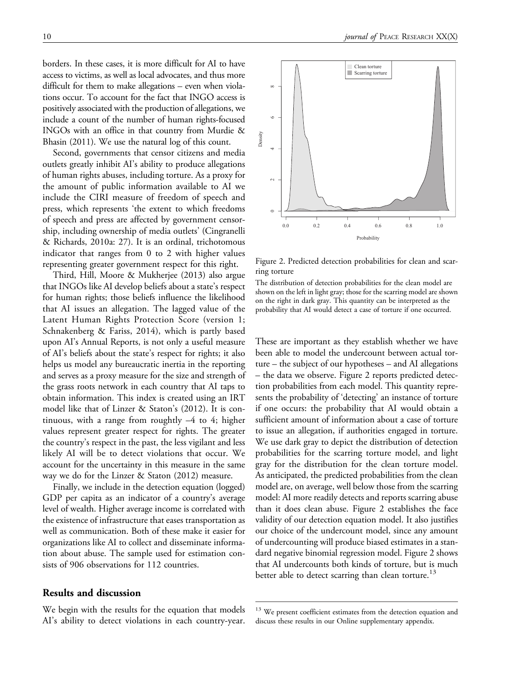borders. In these cases, it is more difficult for AI to have access to victims, as well as local advocates, and thus more difficult for them to make allegations – even when violations occur. To account for the fact that INGO access is positively associated with the production of allegations, we include a count of the number of human rights-focused INGOs with an office in that country from Murdie & Bhasin (2011). We use the natural log of this count.

Second, governments that censor citizens and media outlets greatly inhibit AI's ability to produce allegations of human rights abuses, including torture. As a proxy for the amount of public information available to AI we include the CIRI measure of freedom of speech and press, which represents 'the extent to which freedoms of speech and press are affected by government censorship, including ownership of media outlets' (Cingranelli & Richards, 2010a: 27). It is an ordinal, trichotomous indicator that ranges from 0 to 2 with higher values representing greater government respect for this right.

Third, Hill, Moore & Mukherjee (2013) also argue that INGOs like AI develop beliefs about a state's respect for human rights; those beliefs influence the likelihood that AI issues an allegation. The lagged value of the Latent Human Rights Protection Score (version 1; Schnakenberg & Fariss, 2014), which is partly based upon AI's Annual Reports, is not only a useful measure of AI's beliefs about the state's respect for rights; it also helps us model any bureaucratic inertia in the reporting and serves as a proxy measure for the size and strength of the grass roots network in each country that AI taps to obtain information. This index is created using an IRT model like that of Linzer & Staton's (2012). It is continuous, with a range from roughtly  $-4$  to 4; higher values represent greater respect for rights. The greater the country's respect in the past, the less vigilant and less likely AI will be to detect violations that occur. We account for the uncertainty in this measure in the same way we do for the Linzer & Staton (2012) measure.

Finally, we include in the detection equation (logged) GDP per capita as an indicator of a country's average level of wealth. Higher average income is correlated with the existence of infrastructure that eases transportation as well as communication. Both of these make it easier for organizations like AI to collect and disseminate information about abuse. The sample used for estimation consists of 906 observations for 112 countries.

#### Results and discussion

We begin with the results for the equation that models AI's ability to detect violations in each country-year.



Figure 2. Predicted detection probabilities for clean and scarring torture

The distribution of detection probabilities for the clean model are shown on the left in light gray; those for the scarring model are shown on the right in dark gray. This quantity can be interpreted as the probability that AI would detect a case of torture if one occurred.

These are important as they establish whether we have been able to model the undercount between actual torture – the subject of our hypotheses – and AI allegations – the data we observe. Figure 2 reports predicted detection probabilities from each model. This quantity represents the probability of 'detecting' an instance of torture if one occurs: the probability that AI would obtain a sufficient amount of information about a case of torture to issue an allegation, if authorities engaged in torture. We use dark gray to depict the distribution of detection probabilities for the scarring torture model, and light gray for the distribution for the clean torture model. As anticipated, the predicted probabilities from the clean model are, on average, well below those from the scarring model: AI more readily detects and reports scarring abuse than it does clean abuse. Figure 2 establishes the face validity of our detection equation model. It also justifies our choice of the undercount model, since any amount of undercounting will produce biased estimates in a standard negative binomial regression model. Figure 2 shows that AI undercounts both kinds of torture, but is much better able to detect scarring than clean torture.<sup>13</sup>

<sup>&</sup>lt;sup>13</sup> We present coefficient estimates from the detection equation and discuss these results in our Online supplementary appendix.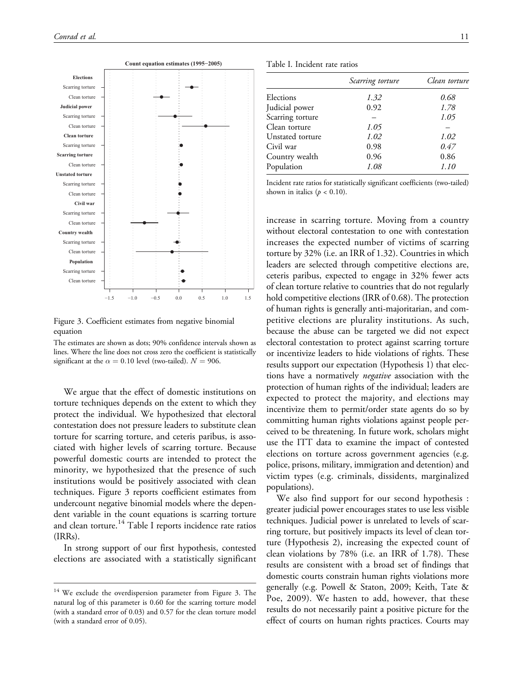

Figure 3. Coefficient estimates from negative binomial equation

The estimates are shown as dots; 90% confidence intervals shown as lines. Where the line does not cross zero the coefficient is statistically significant at the  $\alpha = 0.10$  level (two-tailed).  $N = 906$ .

We argue that the effect of domestic institutions on torture techniques depends on the extent to which they protect the individual. We hypothesized that electoral contestation does not pressure leaders to substitute clean torture for scarring torture, and ceteris paribus, is associated with higher levels of scarring torture. Because powerful domestic courts are intended to protect the minority, we hypothesized that the presence of such institutions would be positively associated with clean techniques. Figure 3 reports coefficient estimates from undercount negative binomial models where the dependent variable in the count equations is scarring torture and clean torture.<sup>14</sup> Table I reports incidence rate ratios (IRRs).

In strong support of our first hypothesis, contested elections are associated with a statistically significant

| Table I. Incident rate ratios |
|-------------------------------|
|                               |

|                  | Scarring torture | Clean torture |
|------------------|------------------|---------------|
| Elections        | 1.32             | 0.68          |
| Judicial power   | 0.92             | 1.78          |
| Scarring torture |                  | 1.05          |
| Clean torture    | 1.05             |               |
| Unstated torture | 1.02             | 1.02          |
| Civil war        | 0.98             | 0.47          |
| Country wealth   | 0.96             | 0.86          |
| Population       | 1.08             | 1.10          |

Incident rate ratios for statistically significant coefficients (two-tailed) shown in italics ( $p < 0.10$ ).

increase in scarring torture. Moving from a country without electoral contestation to one with contestation increases the expected number of victims of scarring torture by 32% (i.e. an IRR of 1.32). Countries in which leaders are selected through competitive elections are, ceteris paribus, expected to engage in 32% fewer acts of clean torture relative to countries that do not regularly hold competitive elections (IRR of 0.68). The protection of human rights is generally anti-majoritarian, and competitive elections are plurality institutions. As such, because the abuse can be targeted we did not expect electoral contestation to protect against scarring torture or incentivize leaders to hide violations of rights. These results support our expectation (Hypothesis 1) that elections have a normatively *negative* association with the protection of human rights of the individual; leaders are expected to protect the majority, and elections may incentivize them to permit/order state agents do so by committing human rights violations against people perceived to be threatening. In future work, scholars might use the ITT data to examine the impact of contested elections on torture across government agencies (e.g. police, prisons, military, immigration and detention) and victim types (e.g. criminals, dissidents, marginalized populations).

We also find support for our second hypothesis : greater judicial power encourages states to use less visible techniques. Judicial power is unrelated to levels of scarring torture, but positively impacts its level of clean torture (Hypothesis 2), increasing the expected count of clean violations by 78% (i.e. an IRR of 1.78). These results are consistent with a broad set of findings that domestic courts constrain human rights violations more generally (e.g. Powell & Staton, 2009; Keith, Tate & Poe, 2009). We hasten to add, however, that these results do not necessarily paint a positive picture for the effect of courts on human rights practices. Courts may

<sup>&</sup>lt;sup>14</sup> We exclude the overdispersion parameter from Figure 3. The natural log of this parameter is 0.60 for the scarring torture model (with a standard error of 0.03) and 0.57 for the clean torture model (with a standard error of 0.05).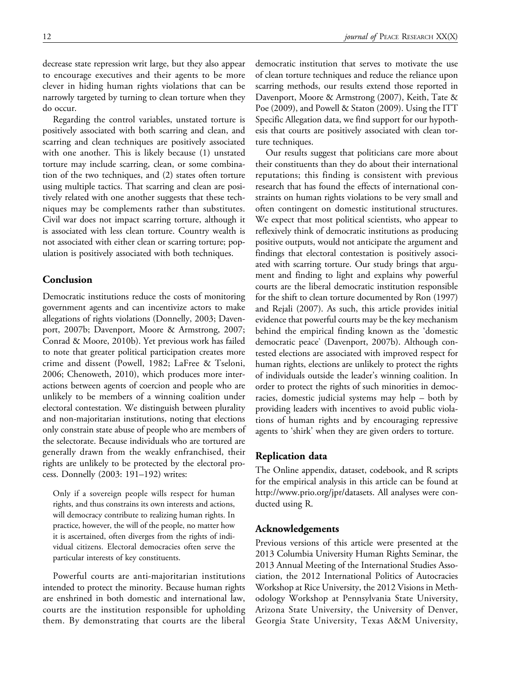decrease state repression writ large, but they also appear to encourage executives and their agents to be more clever in hiding human rights violations that can be narrowly targeted by turning to clean torture when they do occur.

Regarding the control variables, unstated torture is positively associated with both scarring and clean, and scarring and clean techniques are positively associated with one another. This is likely because (1) unstated torture may include scarring, clean, or some combination of the two techniques, and (2) states often torture using multiple tactics. That scarring and clean are positively related with one another suggests that these techniques may be complements rather than substitutes. Civil war does not impact scarring torture, although it is associated with less clean torture. Country wealth is not associated with either clean or scarring torture; population is positively associated with both techniques.

# Conclusion

Democratic institutions reduce the costs of monitoring government agents and can incentivize actors to make allegations of rights violations (Donnelly, 2003; Davenport, 2007b; Davenport, Moore & Armstrong, 2007; Conrad & Moore, 2010b). Yet previous work has failed to note that greater political participation creates more crime and dissent (Powell, 1982; LaFree & Tseloni, 2006; Chenoweth, 2010), which produces more interactions between agents of coercion and people who are unlikely to be members of a winning coalition under electoral contestation. We distinguish between plurality and non-majoritarian institutions, noting that elections only constrain state abuse of people who are members of the selectorate. Because individuals who are tortured are generally drawn from the weakly enfranchised, their rights are unlikely to be protected by the electoral process. Donnelly (2003: 191–192) writes:

Only if a sovereign people wills respect for human rights, and thus constrains its own interests and actions, will democracy contribute to realizing human rights. In practice, however, the will of the people, no matter how it is ascertained, often diverges from the rights of individual citizens. Electoral democracies often serve the particular interests of key constituents.

Powerful courts are anti-majoritarian institutions intended to protect the minority. Because human rights are enshrined in both domestic and international law, courts are the institution responsible for upholding them. By demonstrating that courts are the liberal democratic institution that serves to motivate the use of clean torture techniques and reduce the reliance upon scarring methods, our results extend those reported in Davenport, Moore & Armstrong (2007), Keith, Tate & Poe (2009), and Powell & Staton (2009). Using the ITT Specific Allegation data, we find support for our hypothesis that courts are positively associated with clean torture techniques.

Our results suggest that politicians care more about their constituents than they do about their international reputations; this finding is consistent with previous research that has found the effects of international constraints on human rights violations to be very small and often contingent on domestic institutional structures. We expect that most political scientists, who appear to reflexively think of democratic institutions as producing positive outputs, would not anticipate the argument and findings that electoral contestation is positively associated with scarring torture. Our study brings that argument and finding to light and explains why powerful courts are the liberal democratic institution responsible for the shift to clean torture documented by Ron (1997) and Rejali (2007). As such, this article provides initial evidence that powerful courts may be the key mechanism behind the empirical finding known as the 'domestic democratic peace' (Davenport, 2007b). Although contested elections are associated with improved respect for human rights, elections are unlikely to protect the rights of individuals outside the leader's winning coalition. In order to protect the rights of such minorities in democracies, domestic judicial systems may help – both by providing leaders with incentives to avoid public violations of human rights and by encouraging repressive agents to 'shirk' when they are given orders to torture.

#### Replication data

The Online appendix, dataset, codebook, and R scripts for the empirical analysis in this article can be found at <http://www.prio.org/jpr/datasets>. All analyses were conducted using R.

#### Acknowledgements

Previous versions of this article were presented at the 2013 Columbia University Human Rights Seminar, the 2013 Annual Meeting of the International Studies Association, the 2012 International Politics of Autocracies Workshop at Rice University, the 2012 Visions in Methodology Workshop at Pennsylvania State University, Arizona State University, the University of Denver, Georgia State University, Texas A&M University,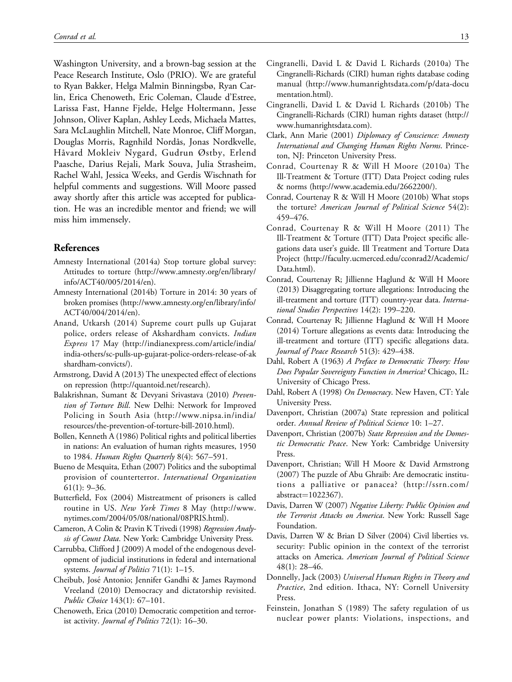Washington University, and a brown-bag session at the Peace Research Institute, Oslo (PRIO). We are grateful to Ryan Bakker, Helga Malmin Binningsbø, Ryan Carlin, Erica Chenoweth, Eric Coleman, Claude d'Estree, Larissa Fast, Hanne Fjelde, Helge Holtermann, Jesse Johnson, Oliver Kaplan, Ashley Leeds, Michaela Mattes, Sara McLaughlin Mitchell, Nate Monroe, Cliff Morgan, Douglas Morris, Ragnhild Nordås, Jonas Nordkvelle, Håvard Mokleiv Nygard, Gudrun Østby, Erlend Paasche, Darius Rejali, Mark Souva, Julia Strasheim, Rachel Wahl, Jessica Weeks, and Gerdis Wischnath for helpful comments and suggestions. Will Moore passed away shortly after this article was accepted for publication. He was an incredible mentor and friend; we will miss him immensely.

# References

- Amnesty International (2014a) Stop torture global survey: Attitudes to torture [\(http://www.amnesty.org/en/library/](http://www.amnesty.org/en/library/info/ACT40/005/2014/en) [info/ACT40/005/2014/en\)](http://www.amnesty.org/en/library/info/ACT40/005/2014/en).
- Amnesty International (2014b) Torture in 2014: 30 years of broken promises ([http://www.amnesty.org/en/library/info/](http://www.amnesty.org/en/library/info/ACT40/004/2014/en) [ACT40/004/2014/en](http://www.amnesty.org/en/library/info/ACT40/004/2014/en)).
- Anand, Utkarsh (2014) Supreme court pulls up Gujarat police, orders release of Akshardham convicts. Indian Express 17 May [\(http://indianexpress.com/article/india/](http://indianexpress.com/article/india/india-others/sc-pulls-up-gujarat-police-orders-release-of-akshardham-convicts/) [india-others/sc-pulls-up-gujarat-police-orders-release-of-ak](http://indianexpress.com/article/india/india-others/sc-pulls-up-gujarat-police-orders-release-of-akshardham-convicts/) [shardham-convicts/\)](http://indianexpress.com/article/india/india-others/sc-pulls-up-gujarat-police-orders-release-of-akshardham-convicts/).
- Armstrong, David A (2013) The unexpected effect of elections on repression (<http://quantoid.net/research>).
- Balakrishnan, Sumant & Devyani Srivastava (2010) Prevention of Torture Bill. New Delhi: Network for Improved Policing in South Asia ([http://www.nipsa.in/india/](http://www.nipsa.in/india/resources/the-prevention-of-torture-bill-2010.html) [resources/the-prevention-of-torture-bill-2010.html](http://www.nipsa.in/india/resources/the-prevention-of-torture-bill-2010.html)).
- Bollen, Kenneth A (1986) Political rights and political liberties in nations: An evaluation of human rights measures, 1950 to 1984. Human Rights Quarterly 8(4): 567–591.
- Bueno de Mesquita, Ethan (2007) Politics and the suboptimal provision of counterterror. International Organization 61(1): 9–36.
- Butterfield, Fox (2004) Mistreatment of prisoners is called routine in US. New York Times 8 May ([http://www.](http://www.nytimes.com/2004/05/08/national/08PRIS.html) [nytimes.com/2004/05/08/national/08PRIS.html\)](http://www.nytimes.com/2004/05/08/national/08PRIS.html).
- Cameron, A Colin & Pravin K Trivedi (1998) Regression Analysis of Count Data. New York: Cambridge University Press.
- Carrubba, Clifford J (2009) A model of the endogenous development of judicial institutions in federal and international systems. *Journal of Politics* 71(1): 1–15.
- Cheibub, Jose´ Antonio; Jennifer Gandhi & James Raymond Vreeland (2010) Democracy and dictatorship revisited. Public Choice 143(1): 67–101.
- Chenoweth, Erica (2010) Democratic competition and terrorist activity. Journal of Politics 72(1): 16–30.
- Cingranelli, David L & David L Richards (2010a) The Cingranelli-Richards (CIRI) human rights database coding manual ([http://www.humanrightsdata.com/p/data-docu](http://www.humanrightsdata.com/p/data-documentation.html) [mentation.html\)](http://www.humanrightsdata.com/p/data-documentation.html).
- Cingranelli, David L & David L Richards (2010b) The Cingranelli-Richards (CIRI) human rights dataset ([http://](http://www.humanrightsdata.com) [www.humanrightsdata.com](http://www.humanrightsdata.com)).
- Clark, Ann Marie (2001) Diplomacy of Conscience: Amnesty International and Changing Human Rights Norms. Princeton, NJ: Princeton University Press.
- Conrad, Courtenay R & Will H Moore (2010a) The Ill-Treatment & Torture (ITT) Data Project coding rules & norms [\(http://www.academia.edu/2662200/](http://www.academia.edu/2662200/)).
- Conrad, Courtenay R & Will H Moore (2010b) What stops the torture? American Journal of Political Science 54(2): 459–476.
- Conrad, Courtenay R & Will H Moore (2011) The Ill-Treatment & Torture (ITT) Data Project specific allegations data user's guide. Ill Treatment and Torture Data Project [\(http://faculty.ucmerced.edu/cconrad2/Academic/](http://faculty.ucmerced.edu/cconrad2/Academic/Data.html) [Data.html](http://faculty.ucmerced.edu/cconrad2/Academic/Data.html)).
- Conrad, Courtenay R; Jillienne Haglund & Will H Moore (2013) Disaggregating torture allegations: Introducing the ill-treatment and torture (ITT) country-year data. International Studies Perspectives 14(2): 199–220.
- Conrad, Courtenay R; Jillienne Haglund & Will H Moore (2014) Torture allegations as events data: Introducing the ill-treatment and torture (ITT) specific allegations data. Journal of Peace Research 51(3): 429–438.
- Dahl, Robert A (1963) A Preface to Democratic Theory: How Does Popular Sovereignty Function in America? Chicago, IL: University of Chicago Press.
- Dahl, Robert A (1998) On Democracy. New Haven, CT: Yale University Press.
- Davenport, Christian (2007a) State repression and political order. Annual Review of Political Science 10: 1–27.
- Davenport, Christian (2007b) State Repression and the Domestic Democratic Peace. New York: Cambridge University Press.
- Davenport, Christian; Will H Moore & David Armstrong (2007) The puzzle of Abu Ghraib: Are democratic institutions a palliative or panacea? ([http://ssrn.com/](http://ssrn.com/abstract=1022367)  $abstraction = 1022367$  $abstraction = 1022367$ .
- Davis, Darren W (2007) Negative Liberty: Public Opinion and the Terrorist Attacks on America. New York: Russell Sage Foundation.
- Davis, Darren W & Brian D Silver (2004) Civil liberties vs. security: Public opinion in the context of the terrorist attacks on America. American Journal of Political Science 48(1): 28–46.
- Donnelly, Jack (2003) Universal Human Rights in Theory and Practice, 2nd edition. Ithaca, NY: Cornell University Press.
- Feinstein, Jonathan S (1989) The safety regulation of us nuclear power plants: Violations, inspections, and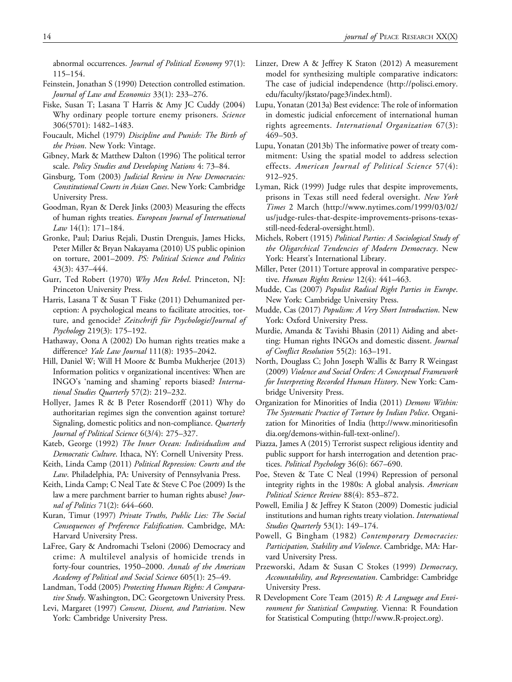abnormal occurrences. Journal of Political Economy 97(1): 115–154.

- Feinstein, Jonathan S (1990) Detection controlled estimation. Journal of Law and Economics 33(1): 233–276.
- Fiske, Susan T; Lasana T Harris & Amy JC Cuddy (2004) Why ordinary people torture enemy prisoners. Science 306(5701): 1482–1483.
- Foucault, Michel (1979) Discipline and Punish: The Birth of the Prison. New York: Vintage.
- Gibney, Mark & Matthew Dalton (1996) The political terror scale. Policy Studies and Developing Nations 4: 73-84.
- Ginsburg, Tom (2003) Judicial Review in New Democracies: Constitutional Courts in Asian Cases. New York: Cambridge University Press.
- Goodman, Ryan & Derek Jinks (2003) Measuring the effects of human rights treaties. European Journal of International Law 14(1): 171–184.
- Gronke, Paul; Darius Rejali, Dustin Drenguis, James Hicks, Peter Miller & Bryan Nakayama (2010) US public opinion on torture, 2001–2009. PS: Political Science and Politics 43(3): 437–444.
- Gurr, Ted Robert (1970) Why Men Rebel. Princeton, NJ: Princeton University Press.
- Harris, Lasana T & Susan T Fiske (2011) Dehumanized perception: A psychological means to facilitate atrocities, torture, and genocide? Zeitschrift für Psychologie/Journal of Psychology 219(3): 175–192.
- Hathaway, Oona A (2002) Do human rights treaties make a difference? Yale Law Journal 111(8): 1935–2042.
- Hill, Daniel W; Will H Moore & Bumba Mukherjee (2013) Information politics v organizational incentives: When are INGO's 'naming and shaming' reports biased? International Studies Quarterly 57(2): 219–232.
- Hollyer, James R & B Peter Rosendorff (2011) Why do authoritarian regimes sign the convention against torture? Signaling, domestic politics and non-compliance. Quarterly Journal of Political Science 6(3/4): 275–327.
- Kateb, George (1992) The Inner Ocean: Individualism and Democratic Culture. Ithaca, NY: Cornell University Press.
- Keith, Linda Camp (2011) Political Repression: Courts and the Law. Philadelphia, PA: University of Pennsylvania Press.
- Keith, Linda Camp; C Neal Tate & Steve C Poe (2009) Is the law a mere parchment barrier to human rights abuse? Journal of Politics 71(2): 644–660.
- Kuran, Timur (1997) Private Truths, Public Lies: The Social Consequences of Preference Falsification. Cambridge, MA: Harvard University Press.
- LaFree, Gary & Andromachi Tseloni (2006) Democracy and crime: A multilevel analysis of homicide trends in forty-four countries, 1950–2000. Annals of the American Academy of Political and Social Science 605(1): 25–49.
- Landman, Todd (2005) Protecting Human Rights: A Comparative Study. Washington, DC: Georgetown University Press.
- Levi, Margaret (1997) Consent, Dissent, and Patriotism. New York: Cambridge University Press.
- Linzer, Drew A & Jeffrey K Staton (2012) A measurement model for synthesizing multiple comparative indicators: The case of judicial independence [\(http://polisci.emory.](http://polisci.emory.edu/faculty/jkstato/page3/index.html) [edu/faculty/jkstato/page3/index.html\)](http://polisci.emory.edu/faculty/jkstato/page3/index.html).
- Lupu, Yonatan (2013a) Best evidence: The role of information in domestic judicial enforcement of international human rights agreements. International Organization 67(3): 469–503.
- Lupu, Yonatan (2013b) The informative power of treaty commitment: Using the spatial model to address selection effects. American Journal of Political Science 57(4): 912–925.
- Lyman, Rick (1999) Judge rules that despite improvements, prisons in Texas still need federal oversight. New York Times 2 March ([http://www.nytimes.com/1999/03/02/](http://www.nytimes.com/1999/03/02/us/judge-rules-that-despite-improvements-prisons-texas-still-need-federal-oversight.html) [us/judge-rules-that-despite-improvements-prisons-texas](http://www.nytimes.com/1999/03/02/us/judge-rules-that-despite-improvements-prisons-texas-still-need-federal-oversight.html)[still-need-federal-oversight.html](http://www.nytimes.com/1999/03/02/us/judge-rules-that-despite-improvements-prisons-texas-still-need-federal-oversight.html)).
- Michels, Robert (1915) Political Parties: A Sociological Study of the Oligarchical Tendencies of Modern Democracy. New York: Hearst's International Library.
- Miller, Peter (2011) Torture approval in comparative perspective. Human Rights Review 12(4): 441-463.
- Mudde, Cas (2007) Populist Radical Right Parties in Europe. New York: Cambridge University Press.
- Mudde, Cas (2017) Populism: A Very Short Introduction. New York: Oxford University Press.
- Murdie, Amanda & Tavishi Bhasin (2011) Aiding and abetting: Human rights INGOs and domestic dissent. Journal of Conflict Resolution 55(2): 163–191.
- North, Douglass C; John Joseph Wallis & Barry R Weingast (2009) Violence and Social Orders: A Conceptual Framework for Interpreting Recorded Human History. New York: Cambridge University Press.
- Organization for Minorities of India (2011) Demons Within: The Systematic Practice of Torture by Indian Police. Organization for Minorities of India ([http://www.minoritiesofin](http://www.minoritiesofindia.org/demons-within-full-text-online/) [dia.org/demons-within-full-text-online/\)](http://www.minoritiesofindia.org/demons-within-full-text-online/).
- Piazza, James A (2015) Terrorist suspect religious identity and public support for harsh interrogation and detention practices. Political Psychology 36(6): 667-690.
- Poe, Steven & Tate C Neal (1994) Repression of personal integrity rights in the 1980s: A global analysis. American Political Science Review 88(4): 853–872.
- Powell, Emilia J & Jeffrey K Staton (2009) Domestic judicial institutions and human rights treaty violation. International Studies Quarterly 53(1): 149–174.
- Powell, G Bingham (1982) Contemporary Democracies: Participation, Stability and Violence. Cambridge, MA: Harvard University Press.
- Przeworski, Adam & Susan C Stokes (1999) Democracy, Accountability, and Representation. Cambridge: Cambridge University Press.
- R Development Core Team (2015) R: A Language and Environment for Statistical Computing. Vienna: R Foundation for Statistical Computing ([http://www.R-project.org\)](http://www.R-project.org).